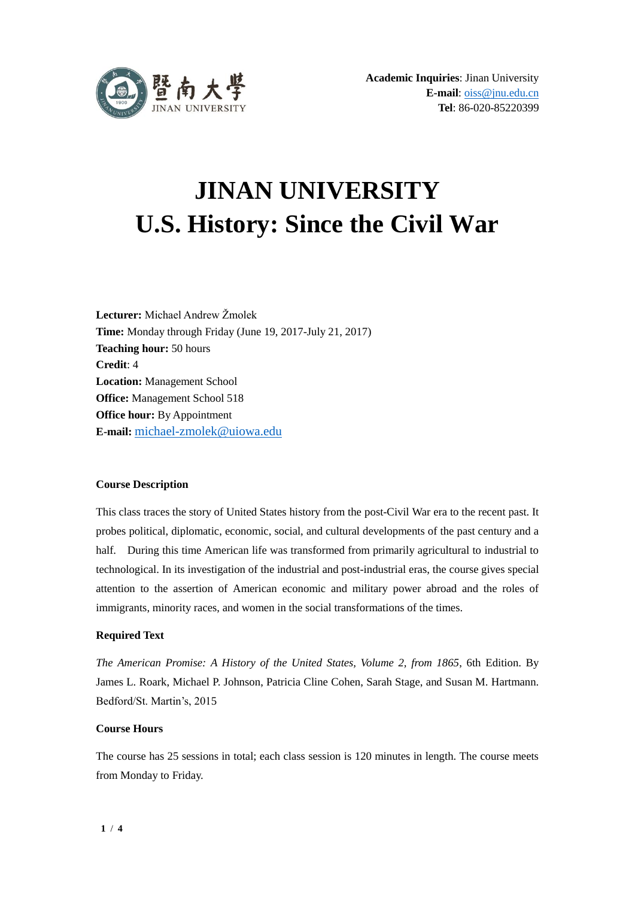

# **JINAN UNIVERSITY U.S. History: Since the Civil War**

**Lecturer:** Michael Andrew Žmolek **Time:** Monday through Friday (June 19, 2017-July 21, 2017) **Teaching hour:** 50 hours **Credit**: 4 **Location:** Management School **Office:** Management School 518 **Office hour:** By Appointment **E-mail:** [michael-zmolek@uiowa.edu](mailto:michael-zmolek@uiowa.edu)

#### **Course Description**

This class traces the story of United States history from the post-Civil War era to the recent past. It probes political, diplomatic, economic, social, and cultural developments of the past century and a half. During this time American life was transformed from primarily agricultural to industrial to technological. In its investigation of the industrial and post-industrial eras, the course gives special attention to the assertion of American economic and military power abroad and the roles of immigrants, minority races, and women in the social transformations of the times.

### **Required Text**

*The American Promise: A History of the United States, Volume 2, from 1865*, 6th Edition. By James L. Roark, Michael P. Johnson, Patricia Cline Cohen, Sarah Stage, and Susan M. Hartmann. Bedford/St. Martin's, 2015

#### **Course Hours**

The course has 25 sessions in total; each class session is 120 minutes in length. The course meets from Monday to Friday.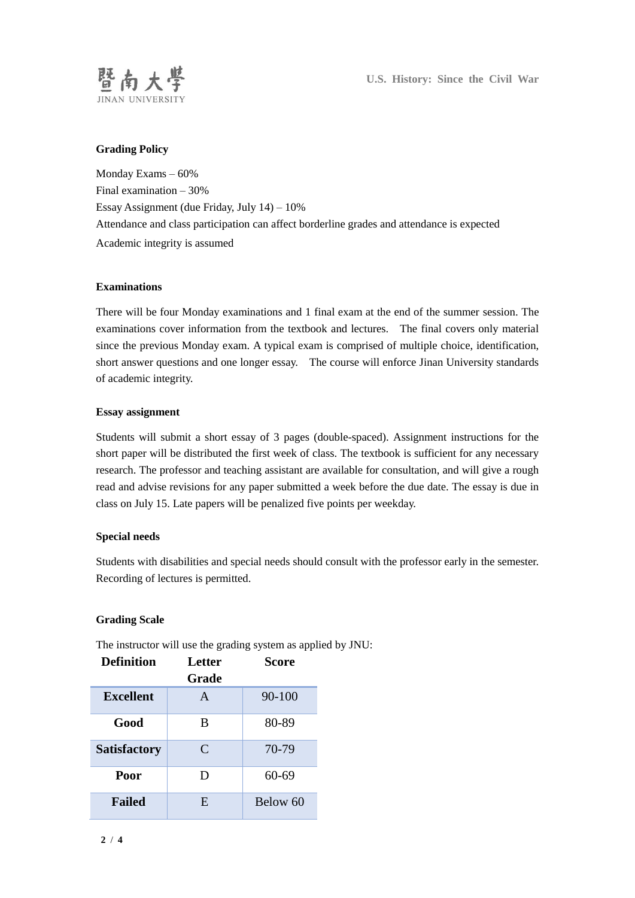

**U.S. History: Since the Civil War**

# **Grading Policy**

Monday Exams – 60% Final examination – 30% Essay Assignment (due Friday, July 14) – 10% Attendance and class participation can affect borderline grades and attendance is expected Academic integrity is assumed

### **Examinations**

There will be four Monday examinations and 1 final exam at the end of the summer session. The examinations cover information from the textbook and lectures. The final covers only material since the previous Monday exam. A typical exam is comprised of multiple choice, identification, short answer questions and one longer essay. The course will enforce Jinan University standards of academic integrity.

# **Essay assignment**

Students will submit a short essay of 3 pages (double-spaced). Assignment instructions for the short paper will be distributed the first week of class. The textbook is sufficient for any necessary research. The professor and teaching assistant are available for consultation, and will give a rough read and advise revisions for any paper submitted a week before the due date. The essay is due in class on July 15. Late papers will be penalized five points per weekday.

### **Special needs**

Students with disabilities and special needs should consult with the professor early in the semester. Recording of lectures is permitted.

### **Grading Scale**

| <b>Definition</b>   | <b>Letter</b><br>Grade | <b>Score</b> |
|---------------------|------------------------|--------------|
|                     |                        |              |
| <b>Excellent</b>    | A                      | 90-100       |
| Good                | B                      | 80-89        |
| <b>Satisfactory</b> | $\mathsf{C}$           | 70-79        |
| Poor                | Ð                      | $60 - 69$    |
| <b>Failed</b>       | E                      | Below 60     |

The instructor will use the grading system as applied by JNU: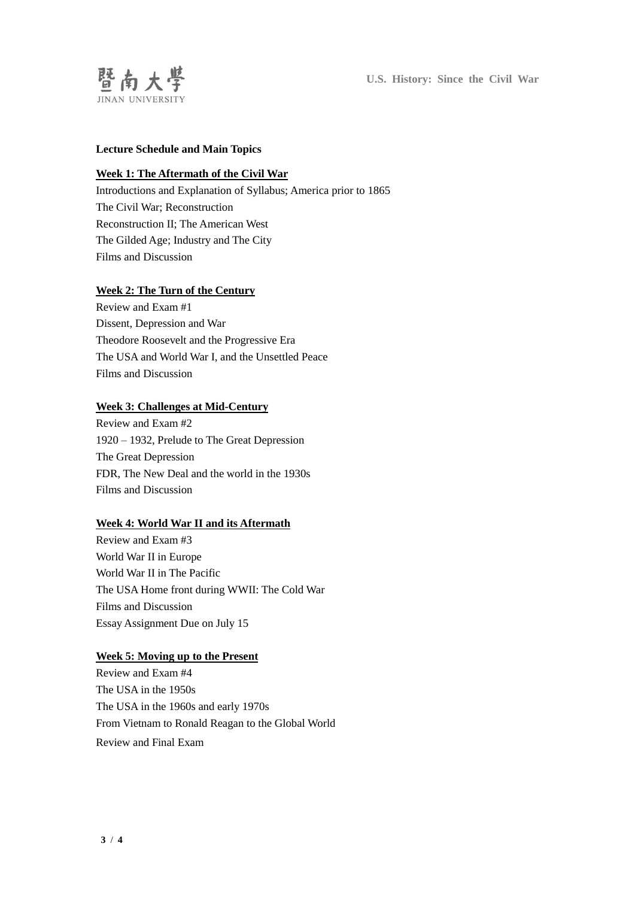

# **Lecture Schedule and Main Topics**

### **Week 1: The Aftermath of the Civil War**

Introductions and Explanation of Syllabus; America prior to 1865 The Civil War; Reconstruction Reconstruction II; The American West The Gilded Age; Industry and The City Films and Discussion

# **Week 2: The Turn of the Century**

Review and Exam #1 Dissent, Depression and War Theodore Roosevelt and the Progressive Era The USA and World War I, and the Unsettled Peace Films and Discussion

#### **Week 3: Challenges at Mid-Century**

Review and Exam #2 1920 – 1932, Prelude to The Great Depression The Great Depression FDR, The New Deal and the world in the 1930s Films and Discussion

#### **Week 4: World War II and its Aftermath**

Review and Exam #3 World War II in Europe World War II in The Pacific The USA Home front during WWII: The Cold War Films and Discussion Essay Assignment Due on July 15

#### **Week 5: Moving up to the Present**

Review and Exam #4 The USA in the 1950s The USA in the 1960s and early 1970s From Vietnam to Ronald Reagan to the Global World Review and Final Exam